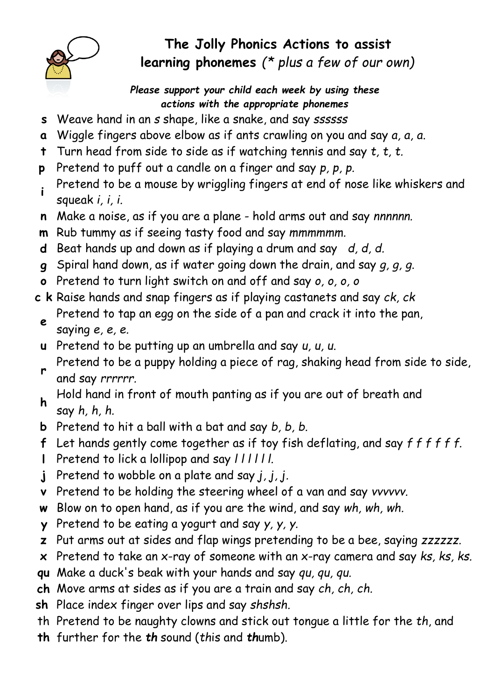

## The Jolly Phonics Actions to assist learning phonemes (\* plus a few of our own)

Please support your child each week by using these actions with the appropriate phonemes

- s Weave hand in an s shape, like a snake, and say ssssss
- a Wiggle fingers above elbow as if ants crawling on you and say a, a, a.
- **t** Turn head from side to side as if watching tennis and say  $t$ ,  $t$ ,  $t$ .
- p Pretend to puff out a candle on a finger and say p, p, p.
- <sup>i</sup> Pretend to be a mouse by wriggling fingers at end of nose like whiskers and squeak i, i, i.
- n Make a noise, as if you are a plane hold arms out and say nnnnnn.
- m Rub tummy as if seeing tasty food and say mmmmmm.
- **d** Beat hands up and down as if playing a drum and say  $d$ ,  $d$ ,  $d$ .
- g Spiral hand down, as if water going down the drain, and say  $g$ ,  $g$ ,  $g$ .
- o Pretend to turn light switch on and off and say o, o, o, o
- c k Raise hands and snap fingers as if playing castanets and say ck, ck e Pretend to tap an egg on the side of a pan and crack it into the pan,
	- saying e, e, e.
- u Pretend to be putting up an umbrella and say u, u, u.
- r Pretend to be a puppy holding a piece of rag, shaking head from side to side, and say rrrrrr.
- h Hold hand in front of mouth panting as if you are out of breath and say h, h, h.
- b Pretend to hit a ball with a bat and say b, b, b.
- f Let hands gently come together as if toy fish deflating, and say  $f$  f f f f f.
- I Pretend to lick a lollipop and say  $|11111|$ .
- j Pretend to wobble on a plate and say  $j, j, j$ .
- v Pretend to be holding the steering wheel of a van and say vvvvvv.
- w Blow on to open hand, as if you are the wind, and say wh, wh, wh.
- y Pretend to be eating a yogurt and say y, y, y.
- z Put arms out at sides and flap wings pretending to be a bee, saying zzzzzz.
- $x$  Pretend to take an x-ray of someone with an x-ray camera and say  $ks$ ,  $ks$ ,  $ks$ .
- qu Make a duck's beak with your hands and say qu, qu, qu.
- ch Move arms at sides as if you are a train and say ch, ch, ch.
- sh Place index finger over lips and say shshsh.
- th Pretend to be naughty clowns and stick out tongue a little for the th, and
- th further for the th sound (this and thumb).